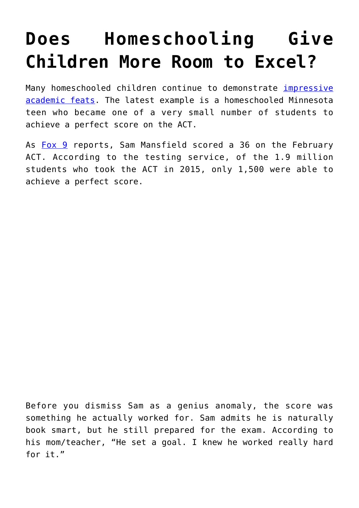## **[Does Homeschooling Give](https://intellectualtakeout.org/2016/03/does-homeschooling-give-children-more-room-to-excel/) [Children More Room to Excel?](https://intellectualtakeout.org/2016/03/does-homeschooling-give-children-more-room-to-excel/)**

Many homeschooled children continue to demonstrate *[impressive](https://www.intellectualtakeout.org/blog/australia-discovers-its-homeschool-students-are-far-above-average)* [academic feats.](https://www.intellectualtakeout.org/blog/australia-discovers-its-homeschool-students-are-far-above-average) The latest example is a homeschooled Minnesota teen who became one of a very small number of students to achieve a perfect score on the ACT.

As [Fox 9](http://www.fox9.com/news/108935692-story) reports, Sam Mansfield scored a 36 on the February ACT. According to the testing service, of the 1.9 million students who took the ACT in 2015, only 1,500 were able to achieve a perfect score.

Before you dismiss Sam as a genius anomaly, the score was something he actually worked for. Sam admits he is naturally book smart, but he still prepared for the exam. According to his mom/teacher, "He set a goal. I knew he worked really hard for it."